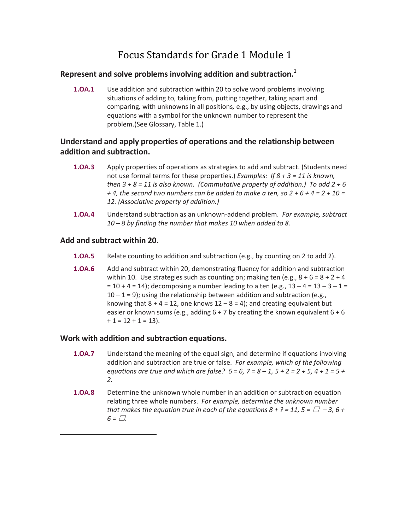# Focus Standards for Grade 1 Module 1

# **Represent and solve problems involving addition and subtraction.1**

**1.OA.1** Use addition and subtraction within 20 to solve word problems involving situations of adding to, taking from, putting together, taking apart and comparing*,* with unknowns in all positions*,* e.g., by using objects, drawings and equations with a symbol for the unknown number to represent the problem.(See Glossary, Table 1.)

# **Understand and apply properties of operations and the relationship between addition and subtraction.**

- **1.OA.3**  Apply properties of operations as strategies to add and subtract. (Students need not use formal terms for these properties.) *Examples: If 8 + 3 = 11 is known, then*  $3 + 8 = 11$  *is also known. (Commutative property of addition.) To add*  $2 + 6$ + 4, the second two numbers can be added to make a ten, so  $2 + 6 + 4 = 2 + 10 = 1$ *12. (Associative property of addition.)*
- **1.OA.4** Understand subtraction as an unknown‐addend problem. *For example, subtract 10 – 8 by finding the number that makes 10 when added to 8.*

#### **Add and subtract within 20.**

 

- **1.OA.5** Relate counting to addition and subtraction (e.g., by counting on 2 to add 2).
- **1.OA.6** Add and subtract within 20, demonstrating fluency for addition and subtraction within 10. Use strategies such as counting on; making ten (e.g.,  $8 + 6 = 8 + 2 + 4$  $= 10 + 4 = 14$ ; decomposing a number leading to a ten (e.g.,  $13 - 4 = 13 - 3 - 1 = 14$ )  $10 - 1 = 9$ ); using the relationship between addition and subtraction (e.g., knowing that  $8 + 4 = 12$ , one knows  $12 - 8 = 4$ ); and creating equivalent but easier or known sums (e.g., adding  $6 + 7$  by creating the known equivalent  $6 + 6$  $+ 1 = 12 + 1 = 13$ .

#### **Work with addition and subtraction equations.**

- **1.OA.7** Understand the meaning of the equal sign, and determine if equations involving addition and subtraction are true or false. *For example, which of the following* equations are true and which are false?  $6 = 6$ ,  $7 = 8 - 1$ ,  $5 + 2 = 2 + 5$ ,  $4 + 1 = 5 + 1$ *2.*
- **1.OA.8** Determine the unknown whole number in an addition or subtraction equation relating three whole numbers. *For example, determine the unknown number* that makes the equation true in each of the equations  $8 + ? = 11$ ,  $5 = \Box -3$ ,  $6 +$  $6 = \Box$ .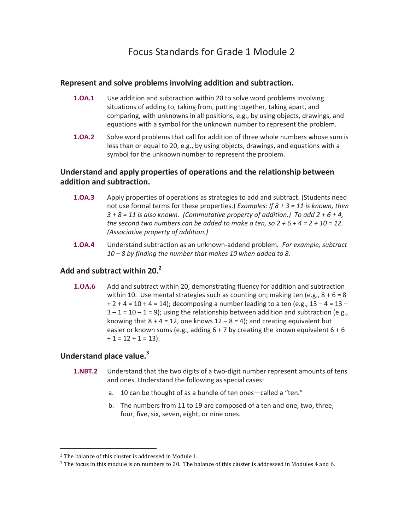#### **Represent and solve problems involving addition and subtraction.**

- **1.OA.1** Use addition and subtraction within 20 to solve word problems involving situations of adding to, taking from, putting together, taking apart, and comparing, with unknowns in all positions, e.g., by using objects, drawings, and equations with a symbol for the unknown number to represent the problem.
- **1.OA.2** Solve word problems that call for addition of three whole numbers whose sum is less than or equal to 20, e.g., by using objects, drawings, and equations with a symbol for the unknown number to represent the problem.

# **Understand and apply properties of operations and the relationship between addition and subtraction.**

- **1.OA.3**  Apply properties of operations as strategies to add and subtract. (Students need not use formal terms for these properties.) *Examples: If 8 + 3 = 11 is known, then*  $3 + 8 = 11$  is also known. (Commutative property of addition.) To add  $2 + 6 + 4$ , the second two numbers can be added to make a ten, so  $2 + 6 + 4 = 2 + 10 = 12$ . *(Associative property of addition.)*
- **1.OA.4** Understand subtraction as an unknown‐addend problem*. For example, subtract 10 – 8 by finding the number that makes 10 when added to 8.*

# **Add and subtract within 20.2**

**1.OA.6 Add and subtract within 20, demonstrating fluency for addition and subtraction** within 10. Use mental strategies such as counting on; making ten (e.g.,  $8 + 6 = 8$ )  $+ 2 + 4 = 10 + 4 = 14$ ; decomposing a number leading to a ten (e.g.,  $13 - 4 = 13 - 4$  $3 - 1 = 10 - 1 = 9$ ); using the relationship between addition and subtraction (e.g., knowing that  $8 + 4 = 12$ , one knows  $12 - 8 = 4$ ); and creating equivalent but easier or known sums (e.g., adding  $6 + 7$  by creating the known equivalent  $6 + 6$  $+ 1 = 12 + 1 = 13$ .

# **Understand place value.3**

- **1.NBT.2** Understand that the two digits of a two-digit number represent amounts of tens and ones. Understand the following as special cases:
	- a. 10 can be thought of as a bundle of ten ones—called a "ten."
	- b. The numbers from 11 to 19 are composed of a ten and one, two, three, four, five, six, seven, eight, or nine ones.

 

 $2$  The balance of this cluster is addressed in Module 1.

 $3$  The focus in this module is on numbers to 20. The balance of this cluster is addressed in Modules 4 and 6.